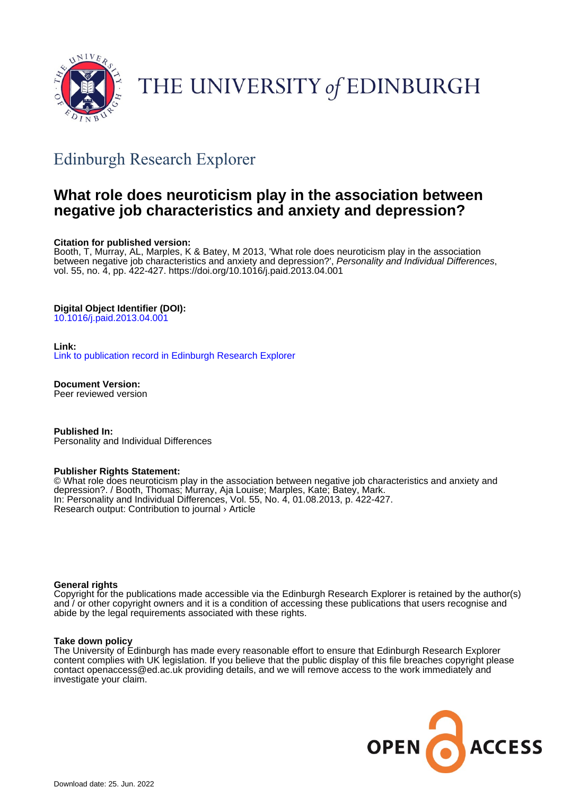

# THE UNIVERSITY of EDINBURGH

# Edinburgh Research Explorer

## **What role does neuroticism play in the association between negative job characteristics and anxiety and depression?**

#### **Citation for published version:**

Booth, T, Murray, AL, Marples, K & Batey, M 2013, 'What role does neuroticism play in the association between negative job characteristics and anxiety and depression?', Personality and Individual Differences, vol. 55, no. 4, pp. 422-427. <https://doi.org/10.1016/j.paid.2013.04.001>

#### **Digital Object Identifier (DOI):**

[10.1016/j.paid.2013.04.001](https://doi.org/10.1016/j.paid.2013.04.001)

#### **Link:**

[Link to publication record in Edinburgh Research Explorer](https://www.research.ed.ac.uk/en/publications/25098ecd-c526-499e-8d7a-324edd902083)

**Document Version:** Peer reviewed version

**Published In:** Personality and Individual Differences

#### **Publisher Rights Statement:**

© What role does neuroticism play in the association between negative job characteristics and anxiety and depression?. / Booth, Thomas; Murray, Aja Louise; Marples, Kate; Batey, Mark. In: Personality and Individual Differences, Vol. 55, No. 4, 01.08.2013, p. 422-427. Research output: Contribution to journal › Article

#### **General rights**

Copyright for the publications made accessible via the Edinburgh Research Explorer is retained by the author(s) and / or other copyright owners and it is a condition of accessing these publications that users recognise and abide by the legal requirements associated with these rights.

#### **Take down policy**

The University of Edinburgh has made every reasonable effort to ensure that Edinburgh Research Explorer content complies with UK legislation. If you believe that the public display of this file breaches copyright please contact openaccess@ed.ac.uk providing details, and we will remove access to the work immediately and investigate your claim.

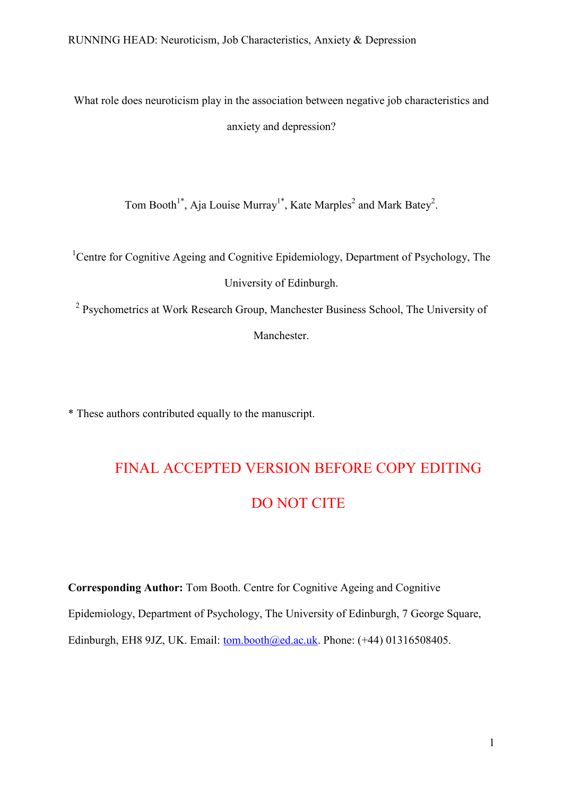What role does neuroticism play in the association between negative job characteristics and anxiety and depression?

Tom Booth<sup>1\*</sup>, Aja Louise Murray<sup>1\*</sup>, Kate Marples<sup>2</sup> and Mark Batey<sup>2</sup>.

<sup>1</sup>Centre for Cognitive Ageing and Cognitive Epidemiology, Department of Psychology, The University of Edinburgh.

<sup>2</sup> Psychometrics at Work Research Group, Manchester Business School, The University of Manchester.

\* These authors contributed equally to the manuscript.

# FINAL ACCEPTED VERSION BEFORE COPY EDITING DO NOT CITE

**Corresponding Author:** Tom Booth. Centre for Cognitive Ageing and Cognitive Epidemiology, Department of Psychology, The University of Edinburgh, 7 George Square, Edinburgh, EH8 9JZ, UK. Email: [tom.booth@ed.ac.uk.](mailto:tom.booth@ed.ac.uk) Phone: (+44) 01316508405.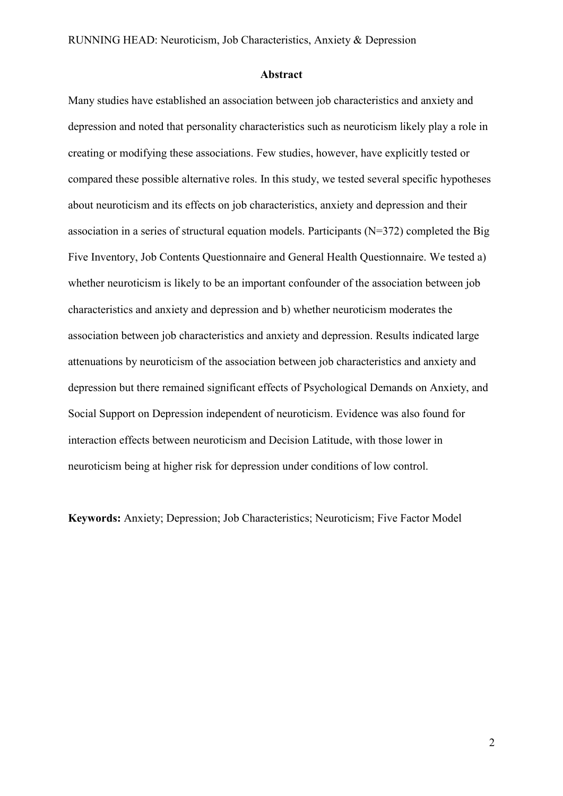#### **Abstract**

Many studies have established an association between job characteristics and anxiety and depression and noted that personality characteristics such as neuroticism likely play a role in creating or modifying these associations. Few studies, however, have explicitly tested or compared these possible alternative roles. In this study, we tested several specific hypotheses about neuroticism and its effects on job characteristics, anxiety and depression and their association in a series of structural equation models. Participants (N=372) completed the Big Five Inventory, Job Contents Questionnaire and General Health Questionnaire. We tested a) whether neuroticism is likely to be an important confounder of the association between job characteristics and anxiety and depression and b) whether neuroticism moderates the association between job characteristics and anxiety and depression. Results indicated large attenuations by neuroticism of the association between job characteristics and anxiety and depression but there remained significant effects of Psychological Demands on Anxiety, and Social Support on Depression independent of neuroticism. Evidence was also found for interaction effects between neuroticism and Decision Latitude, with those lower in neuroticism being at higher risk for depression under conditions of low control.

**Keywords:** Anxiety; Depression; Job Characteristics; Neuroticism; Five Factor Model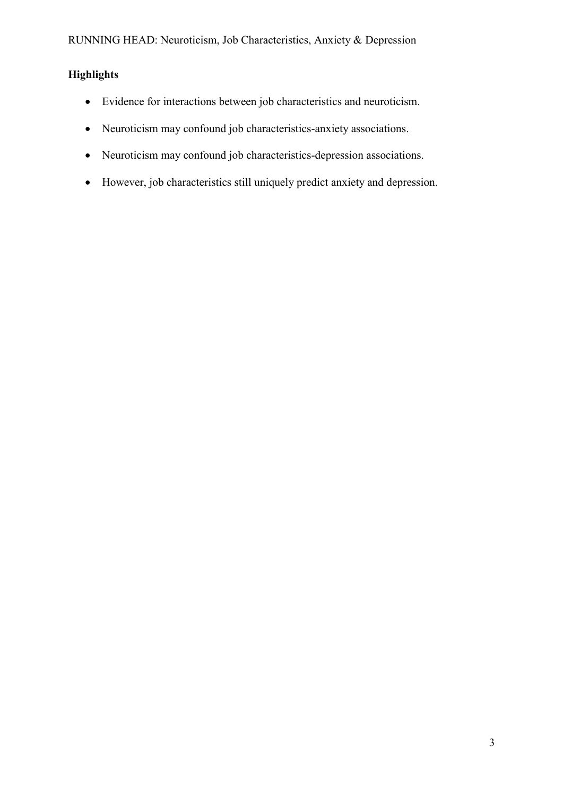### **Highlights**

- Evidence for interactions between job characteristics and neuroticism.
- Neuroticism may confound job characteristics-anxiety associations.
- Neuroticism may confound job characteristics-depression associations.
- However, job characteristics still uniquely predict anxiety and depression.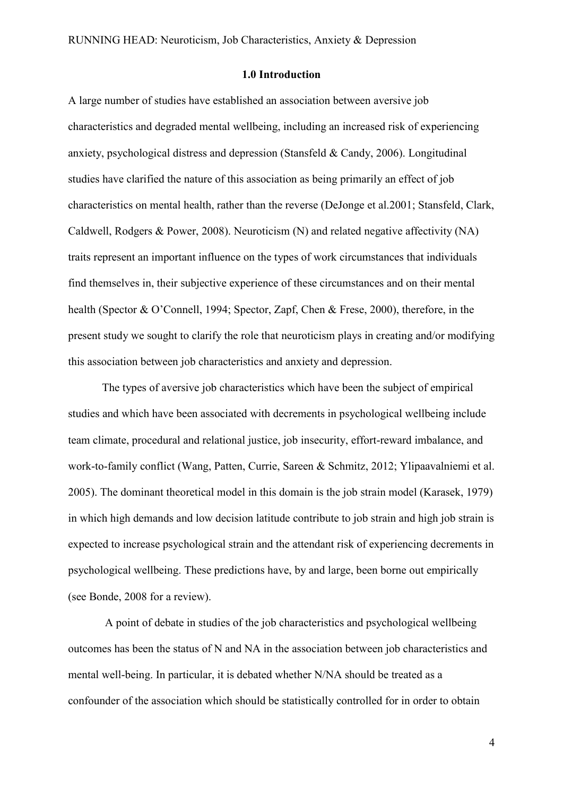#### **1.0 Introduction**

A large number of studies have established an association between aversive job characteristics and degraded mental wellbeing, including an increased risk of experiencing anxiety, psychological distress and depression (Stansfeld & Candy, 2006). Longitudinal studies have clarified the nature of this association as being primarily an effect of job characteristics on mental health, rather than the reverse (DeJonge et al.2001; Stansfeld, Clark, Caldwell, Rodgers & Power, 2008). Neuroticism (N) and related negative affectivity (NA) traits represent an important influence on the types of work circumstances that individuals find themselves in, their subjective experience of these circumstances and on their mental health (Spector & O'Connell, 1994; Spector, Zapf, Chen & Frese, 2000), therefore, in the present study we sought to clarify the role that neuroticism plays in creating and/or modifying this association between job characteristics and anxiety and depression.

The types of aversive job characteristics which have been the subject of empirical studies and which have been associated with decrements in psychological wellbeing include team climate, procedural and relational justice, job insecurity, effort-reward imbalance, and work-to-family conflict (Wang, Patten, Currie, Sareen & Schmitz, 2012; Ylipaavalniemi et al. 2005). The dominant theoretical model in this domain is the job strain model (Karasek, 1979) in which high demands and low decision latitude contribute to job strain and high job strain is expected to increase psychological strain and the attendant risk of experiencing decrements in psychological wellbeing. These predictions have, by and large, been borne out empirically (see Bonde, 2008 for a review).

A point of debate in studies of the job characteristics and psychological wellbeing outcomes has been the status of N and NA in the association between job characteristics and mental well-being. In particular, it is debated whether N/NA should be treated as a confounder of the association which should be statistically controlled for in order to obtain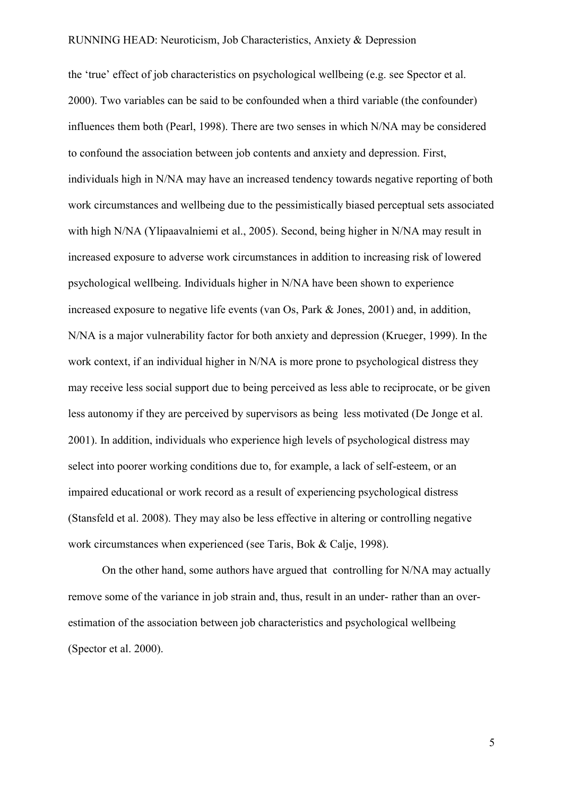the 'true' effect of job characteristics on psychological wellbeing (e.g. see Spector et al. 2000). Two variables can be said to be confounded when a third variable (the confounder) influences them both (Pearl, 1998). There are two senses in which N/NA may be considered to confound the association between job contents and anxiety and depression. First, individuals high in N/NA may have an increased tendency towards negative reporting of both work circumstances and wellbeing due to the pessimistically biased perceptual sets associated with high N/NA (Ylipaavalniemi et al., 2005). Second, being higher in N/NA may result in increased exposure to adverse work circumstances in addition to increasing risk of lowered psychological wellbeing. Individuals higher in N/NA have been shown to experience increased exposure to negative life events (van Os, Park & Jones, 2001) and, in addition, N/NA is a major vulnerability factor for both anxiety and depression (Krueger, 1999). In the work context, if an individual higher in N/NA is more prone to psychological distress they may receive less social support due to being perceived as less able to reciprocate, or be given less autonomy if they are perceived by supervisors as being less motivated (De Jonge et al. 2001). In addition, individuals who experience high levels of psychological distress may select into poorer working conditions due to, for example, a lack of self-esteem, or an impaired educational or work record as a result of experiencing psychological distress (Stansfeld et al. 2008). They may also be less effective in altering or controlling negative work circumstances when experienced (see Taris, Bok & Calje, 1998).

On the other hand, some authors have argued that controlling for N/NA may actually remove some of the variance in job strain and, thus, result in an under- rather than an overestimation of the association between job characteristics and psychological wellbeing (Spector et al. 2000).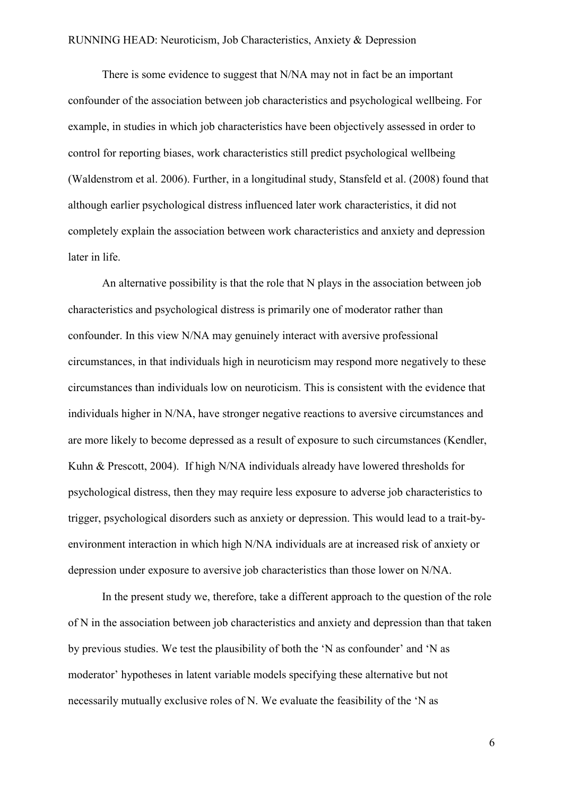There is some evidence to suggest that N/NA may not in fact be an important confounder of the association between job characteristics and psychological wellbeing. For example, in studies in which job characteristics have been objectively assessed in order to control for reporting biases, work characteristics still predict psychological wellbeing (Waldenstrom et al. 2006). Further, in a longitudinal study, Stansfeld et al. (2008) found that although earlier psychological distress influenced later work characteristics, it did not completely explain the association between work characteristics and anxiety and depression later in life.

An alternative possibility is that the role that N plays in the association between job characteristics and psychological distress is primarily one of moderator rather than confounder. In this view N/NA may genuinely interact with aversive professional circumstances, in that individuals high in neuroticism may respond more negatively to these circumstances than individuals low on neuroticism. This is consistent with the evidence that individuals higher in N/NA, have stronger negative reactions to aversive circumstances and are more likely to become depressed as a result of exposure to such circumstances (Kendler, Kuhn & Prescott, 2004). If high N/NA individuals already have lowered thresholds for psychological distress, then they may require less exposure to adverse job characteristics to trigger, psychological disorders such as anxiety or depression. This would lead to a trait-byenvironment interaction in which high N/NA individuals are at increased risk of anxiety or depression under exposure to aversive job characteristics than those lower on N/NA.

In the present study we, therefore, take a different approach to the question of the role of N in the association between job characteristics and anxiety and depression than that taken by previous studies. We test the plausibility of both the 'N as confounder' and 'N as moderator' hypotheses in latent variable models specifying these alternative but not necessarily mutually exclusive roles of N. We evaluate the feasibility of the 'N as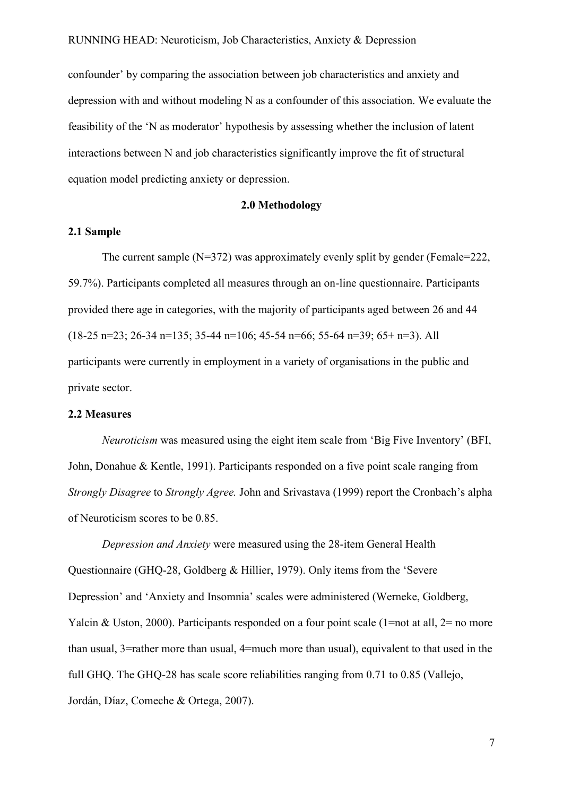confounder' by comparing the association between job characteristics and anxiety and depression with and without modeling N as a confounder of this association. We evaluate the feasibility of the 'N as moderator' hypothesis by assessing whether the inclusion of latent interactions between N and job characteristics significantly improve the fit of structural equation model predicting anxiety or depression.

#### **2.0 Methodology**

#### **2.1 Sample**

The current sample (N=372) was approximately evenly split by gender (Female=222, 59.7%). Participants completed all measures through an on-line questionnaire. Participants provided there age in categories, with the majority of participants aged between 26 and 44  $(18-25 \text{ n} = 23; 26-34 \text{ n} = 135; 35-44 \text{ n} = 106; 45-54 \text{ n} = 66; 55-64 \text{ n} = 39; 65+ \text{ n} = 3)$ . All participants were currently in employment in a variety of organisations in the public and private sector.

#### **2.2 Measures**

*Neuroticism* was measured using the eight item scale from 'Big Five Inventory' (BFI, John, Donahue & Kentle, 1991). Participants responded on a five point scale ranging from *Strongly Disagree* to *Strongly Agree.* John and Srivastava (1999) report the Cronbach's alpha of Neuroticism scores to be 0.85.

*Depression and Anxiety* were measured using the 28-item General Health Questionnaire (GHQ-28, Goldberg & Hillier, 1979). Only items from the 'Severe Depression' and 'Anxiety and Insomnia' scales were administered (Werneke, Goldberg, Yalcin & Uston, 2000). Participants responded on a four point scale (1=not at all,  $2=$  no more than usual, 3=rather more than usual, 4=much more than usual), equivalent to that used in the full GHQ. The GHQ-28 has scale score reliabilities ranging from 0.71 to 0.85 (Vallejo, Jordán, Díaz, Comeche & Ortega, 2007).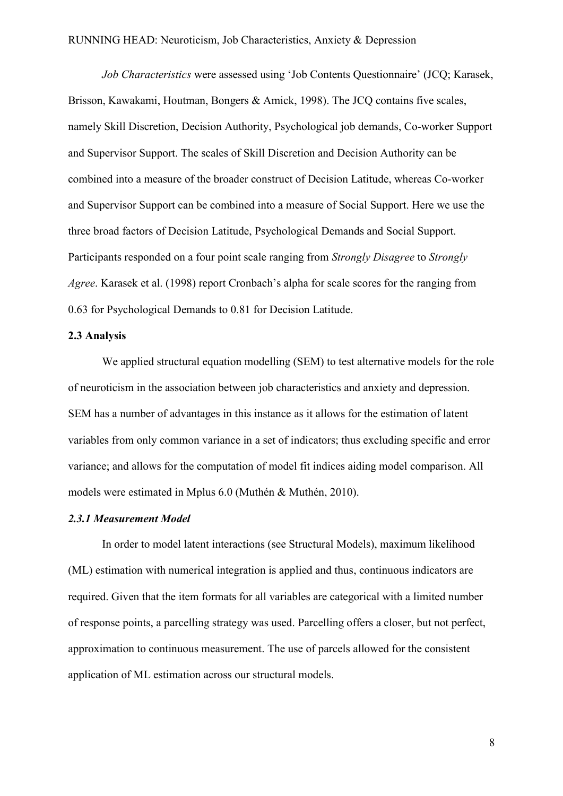*Job Characteristics* were assessed using 'Job Contents Questionnaire' (JCQ; Karasek, Brisson, Kawakami, Houtman, Bongers & Amick, 1998). The JCO contains five scales, namely Skill Discretion, Decision Authority, Psychological job demands, Co-worker Support and Supervisor Support. The scales of Skill Discretion and Decision Authority can be combined into a measure of the broader construct of Decision Latitude, whereas Co-worker and Supervisor Support can be combined into a measure of Social Support. Here we use the three broad factors of Decision Latitude, Psychological Demands and Social Support. Participants responded on a four point scale ranging from *Strongly Disagree* to *Strongly Agree*. Karasek et al. (1998) report Cronbach's alpha for scale scores for the ranging from 0.63 for Psychological Demands to 0.81 for Decision Latitude.

#### **2.3 Analysis**

We applied structural equation modelling (SEM) to test alternative models for the role of neuroticism in the association between job characteristics and anxiety and depression. SEM has a number of advantages in this instance as it allows for the estimation of latent variables from only common variance in a set of indicators; thus excluding specific and error variance; and allows for the computation of model fit indices aiding model comparison. All models were estimated in Mplus 6.0 (Muthén & Muthén, 2010).

#### *2.3.1 Measurement Model*

In order to model latent interactions (see Structural Models), maximum likelihood (ML) estimation with numerical integration is applied and thus, continuous indicators are required. Given that the item formats for all variables are categorical with a limited number of response points, a parcelling strategy was used. Parcelling offers a closer, but not perfect, approximation to continuous measurement. The use of parcels allowed for the consistent application of ML estimation across our structural models.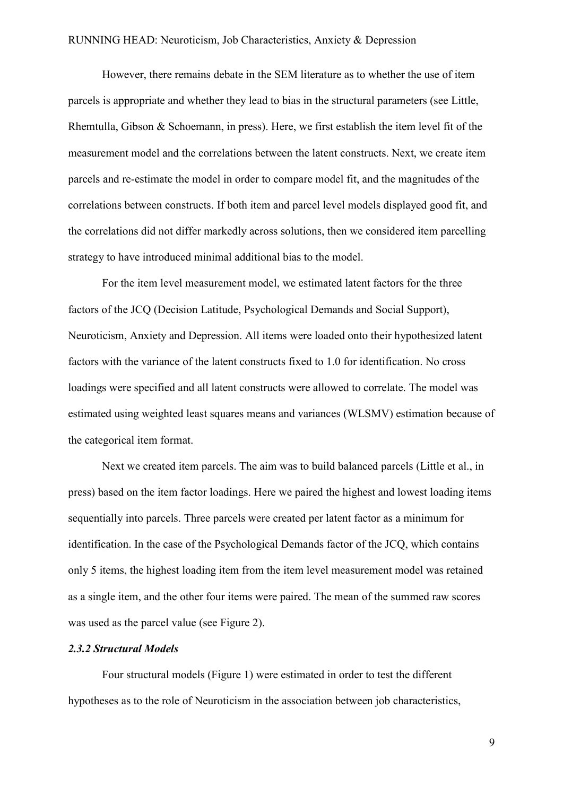However, there remains debate in the SEM literature as to whether the use of item parcels is appropriate and whether they lead to bias in the structural parameters (see Little, Rhemtulla, Gibson & Schoemann, in press). Here, we first establish the item level fit of the measurement model and the correlations between the latent constructs. Next, we create item parcels and re-estimate the model in order to compare model fit, and the magnitudes of the correlations between constructs. If both item and parcel level models displayed good fit, and the correlations did not differ markedly across solutions, then we considered item parcelling strategy to have introduced minimal additional bias to the model.

For the item level measurement model, we estimated latent factors for the three factors of the JCQ (Decision Latitude, Psychological Demands and Social Support), Neuroticism, Anxiety and Depression. All items were loaded onto their hypothesized latent factors with the variance of the latent constructs fixed to 1.0 for identification. No cross loadings were specified and all latent constructs were allowed to correlate. The model was estimated using weighted least squares means and variances (WLSMV) estimation because of the categorical item format.

Next we created item parcels. The aim was to build balanced parcels (Little et al., in press) based on the item factor loadings. Here we paired the highest and lowest loading items sequentially into parcels. Three parcels were created per latent factor as a minimum for identification. In the case of the Psychological Demands factor of the JCQ, which contains only 5 items, the highest loading item from the item level measurement model was retained as a single item, and the other four items were paired. The mean of the summed raw scores was used as the parcel value (see Figure 2).

#### *2.3.2 Structural Models*

Four structural models (Figure 1) were estimated in order to test the different hypotheses as to the role of Neuroticism in the association between job characteristics,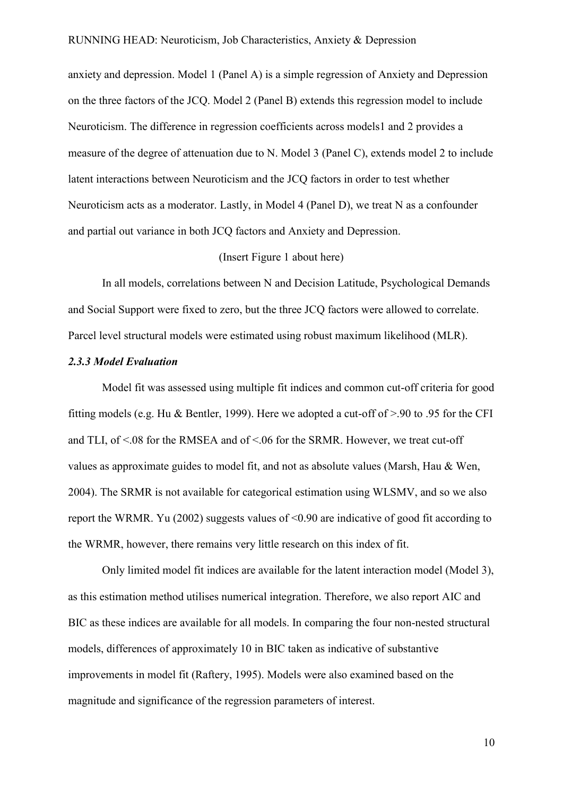anxiety and depression. Model 1 (Panel A) is a simple regression of Anxiety and Depression on the three factors of the JCQ. Model 2 (Panel B) extends this regression model to include Neuroticism. The difference in regression coefficients across models1 and 2 provides a measure of the degree of attenuation due to N. Model 3 (Panel C), extends model 2 to include latent interactions between Neuroticism and the JCQ factors in order to test whether Neuroticism acts as a moderator. Lastly, in Model 4 (Panel D), we treat N as a confounder and partial out variance in both JCQ factors and Anxiety and Depression.

#### (Insert Figure 1 about here)

In all models, correlations between N and Decision Latitude, Psychological Demands and Social Support were fixed to zero, but the three JCQ factors were allowed to correlate. Parcel level structural models were estimated using robust maximum likelihood (MLR).

#### *2.3.3 Model Evaluation*

Model fit was assessed using multiple fit indices and common cut-off criteria for good fitting models (e.g. Hu & Bentler, 1999). Here we adopted a cut-off of >.90 to .95 for the CFI and TLI, of  $\leq 08$  for the RMSEA and of  $\leq 06$  for the SRMR. However, we treat cut-off values as approximate guides to model fit, and not as absolute values (Marsh, Hau & Wen, 2004). The SRMR is not available for categorical estimation using WLSMV, and so we also report the WRMR. Yu (2002) suggests values of <0.90 are indicative of good fit according to the WRMR, however, there remains very little research on this index of fit.

Only limited model fit indices are available for the latent interaction model (Model 3), as this estimation method utilises numerical integration. Therefore, we also report AIC and BIC as these indices are available for all models. In comparing the four non-nested structural models, differences of approximately 10 in BIC taken as indicative of substantive improvements in model fit (Raftery, 1995). Models were also examined based on the magnitude and significance of the regression parameters of interest.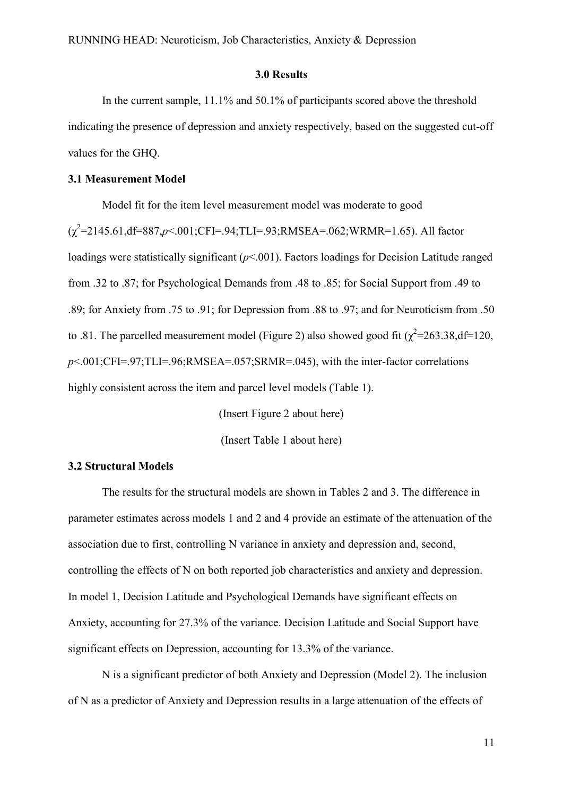#### **3.0 Results**

In the current sample, 11.1% and 50.1% of participants scored above the threshold indicating the presence of depression and anxiety respectively, based on the suggested cut-off values for the GHQ.

#### **3.1 Measurement Model**

Model fit for the item level measurement model was moderate to good (χ2 =2145.61,df=887,*p*<.001;CFI=.94;TLI=.93;RMSEA=.062;WRMR=1.65). All factor loadings were statistically significant ( $p$ <.001). Factors loadings for Decision Latitude ranged from .32 to .87; for Psychological Demands from .48 to .85; for Social Support from .49 to .89; for Anxiety from .75 to .91; for Depression from .88 to .97; and for Neuroticism from .50 to .81. The parcelled measurement model (Figure 2) also showed good fit  $(\chi^2 = 263.38, df = 120,$ *p*<.001;CFI=.97;TLI=.96;RMSEA=.057;SRMR=.045), with the inter-factor correlations highly consistent across the item and parcel level models (Table 1).

> (Insert Figure 2 about here) (Insert Table 1 about here)

#### **3.2 Structural Models**

The results for the structural models are shown in Tables 2 and 3. The difference in parameter estimates across models 1 and 2 and 4 provide an estimate of the attenuation of the association due to first, controlling N variance in anxiety and depression and, second, controlling the effects of N on both reported job characteristics and anxiety and depression. In model 1, Decision Latitude and Psychological Demands have significant effects on Anxiety, accounting for 27.3% of the variance. Decision Latitude and Social Support have significant effects on Depression, accounting for 13.3% of the variance.

N is a significant predictor of both Anxiety and Depression (Model 2). The inclusion of N as a predictor of Anxiety and Depression results in a large attenuation of the effects of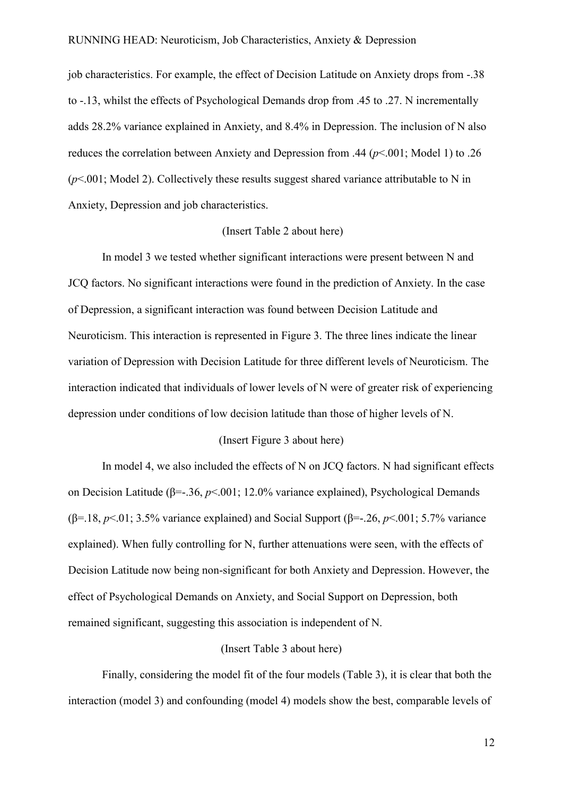job characteristics. For example, the effect of Decision Latitude on Anxiety drops from -.38 to -.13, whilst the effects of Psychological Demands drop from .45 to .27. N incrementally adds 28.2% variance explained in Anxiety, and 8.4% in Depression. The inclusion of N also reduces the correlation between Anxiety and Depression from .44 (*p*<.001; Model 1) to .26 (*p*<.001; Model 2). Collectively these results suggest shared variance attributable to N in Anxiety, Depression and job characteristics.

#### (Insert Table 2 about here)

In model 3 we tested whether significant interactions were present between N and JCQ factors. No significant interactions were found in the prediction of Anxiety. In the case of Depression, a significant interaction was found between Decision Latitude and Neuroticism. This interaction is represented in Figure 3. The three lines indicate the linear variation of Depression with Decision Latitude for three different levels of Neuroticism. The interaction indicated that individuals of lower levels of N were of greater risk of experiencing depression under conditions of low decision latitude than those of higher levels of N.

#### (Insert Figure 3 about here)

In model 4, we also included the effects of N on JCQ factors. N had significant effects on Decision Latitude (β=-.36, *p*<.001; 12.0% variance explained), Psychological Demands (β=.18, *p*<.01; 3.5% variance explained) and Social Support (β=-.26, *p*<.001; 5.7% variance explained). When fully controlling for N, further attenuations were seen, with the effects of Decision Latitude now being non-significant for both Anxiety and Depression. However, the effect of Psychological Demands on Anxiety, and Social Support on Depression, both remained significant, suggesting this association is independent of N.

#### (Insert Table 3 about here)

Finally, considering the model fit of the four models (Table 3), it is clear that both the interaction (model 3) and confounding (model 4) models show the best, comparable levels of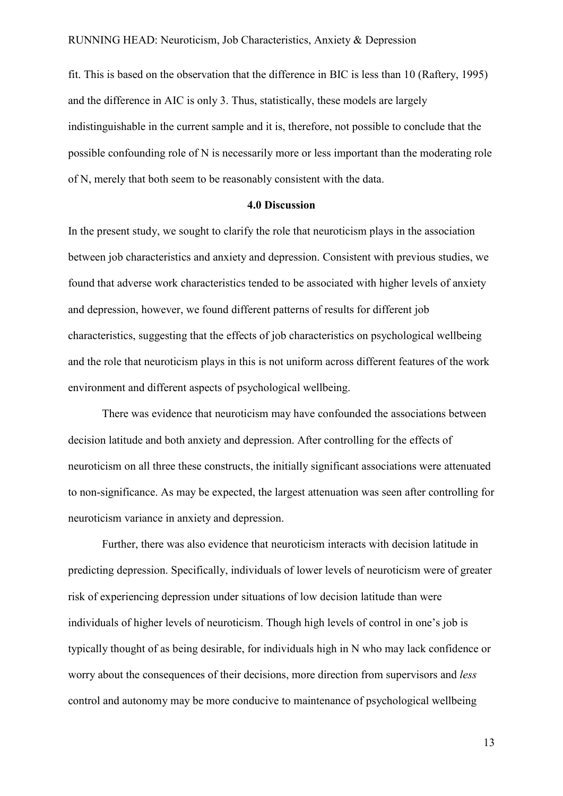fit. This is based on the observation that the difference in BIC is less than 10 (Raftery, 1995) and the difference in AIC is only 3. Thus, statistically, these models are largely indistinguishable in the current sample and it is, therefore, not possible to conclude that the possible confounding role of N is necessarily more or less important than the moderating role of N, merely that both seem to be reasonably consistent with the data.

#### **4.0 Discussion**

In the present study, we sought to clarify the role that neuroticism plays in the association between job characteristics and anxiety and depression. Consistent with previous studies, we found that adverse work characteristics tended to be associated with higher levels of anxiety and depression, however, we found different patterns of results for different job characteristics, suggesting that the effects of job characteristics on psychological wellbeing and the role that neuroticism plays in this is not uniform across different features of the work environment and different aspects of psychological wellbeing.

There was evidence that neuroticism may have confounded the associations between decision latitude and both anxiety and depression. After controlling for the effects of neuroticism on all three these constructs, the initially significant associations were attenuated to non-significance. As may be expected, the largest attenuation was seen after controlling for neuroticism variance in anxiety and depression.

Further, there was also evidence that neuroticism interacts with decision latitude in predicting depression. Specifically, individuals of lower levels of neuroticism were of greater risk of experiencing depression under situations of low decision latitude than were individuals of higher levels of neuroticism. Though high levels of control in one's job is typically thought of as being desirable, for individuals high in N who may lack confidence or worry about the consequences of their decisions, more direction from supervisors and *less*  control and autonomy may be more conducive to maintenance of psychological wellbeing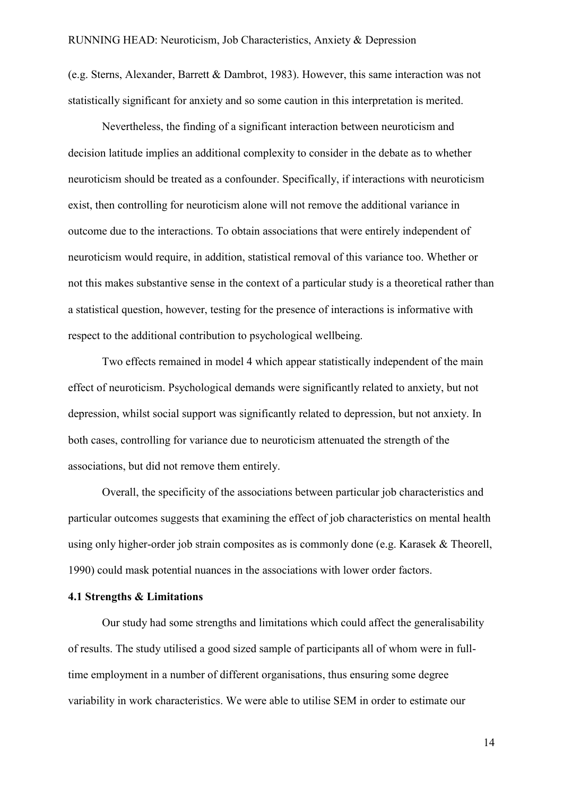(e.g. Sterns, Alexander, Barrett & Dambrot, 1983). However, this same interaction was not statistically significant for anxiety and so some caution in this interpretation is merited.

Nevertheless, the finding of a significant interaction between neuroticism and decision latitude implies an additional complexity to consider in the debate as to whether neuroticism should be treated as a confounder. Specifically, if interactions with neuroticism exist, then controlling for neuroticism alone will not remove the additional variance in outcome due to the interactions. To obtain associations that were entirely independent of neuroticism would require, in addition, statistical removal of this variance too. Whether or not this makes substantive sense in the context of a particular study is a theoretical rather than a statistical question, however, testing for the presence of interactions is informative with respect to the additional contribution to psychological wellbeing.

Two effects remained in model 4 which appear statistically independent of the main effect of neuroticism. Psychological demands were significantly related to anxiety, but not depression, whilst social support was significantly related to depression, but not anxiety. In both cases, controlling for variance due to neuroticism attenuated the strength of the associations, but did not remove them entirely.

Overall, the specificity of the associations between particular job characteristics and particular outcomes suggests that examining the effect of job characteristics on mental health using only higher-order job strain composites as is commonly done (e.g. Karasek & Theorell, 1990) could mask potential nuances in the associations with lower order factors.

#### **4.1 Strengths & Limitations**

Our study had some strengths and limitations which could affect the generalisability of results. The study utilised a good sized sample of participants all of whom were in fulltime employment in a number of different organisations, thus ensuring some degree variability in work characteristics. We were able to utilise SEM in order to estimate our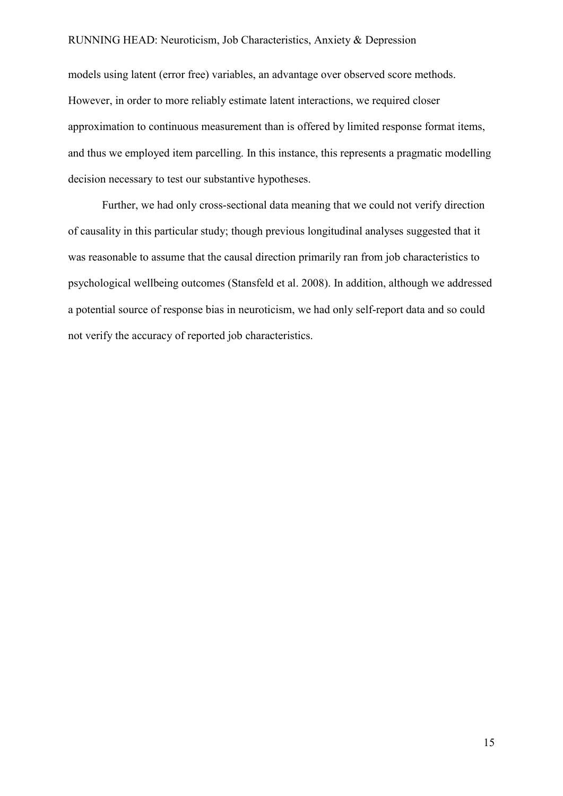models using latent (error free) variables, an advantage over observed score methods. However, in order to more reliably estimate latent interactions, we required closer approximation to continuous measurement than is offered by limited response format items, and thus we employed item parcelling. In this instance, this represents a pragmatic modelling decision necessary to test our substantive hypotheses.

Further, we had only cross-sectional data meaning that we could not verify direction of causality in this particular study; though previous longitudinal analyses suggested that it was reasonable to assume that the causal direction primarily ran from job characteristics to psychological wellbeing outcomes (Stansfeld et al. 2008). In addition, although we addressed a potential source of response bias in neuroticism, we had only self-report data and so could not verify the accuracy of reported job characteristics.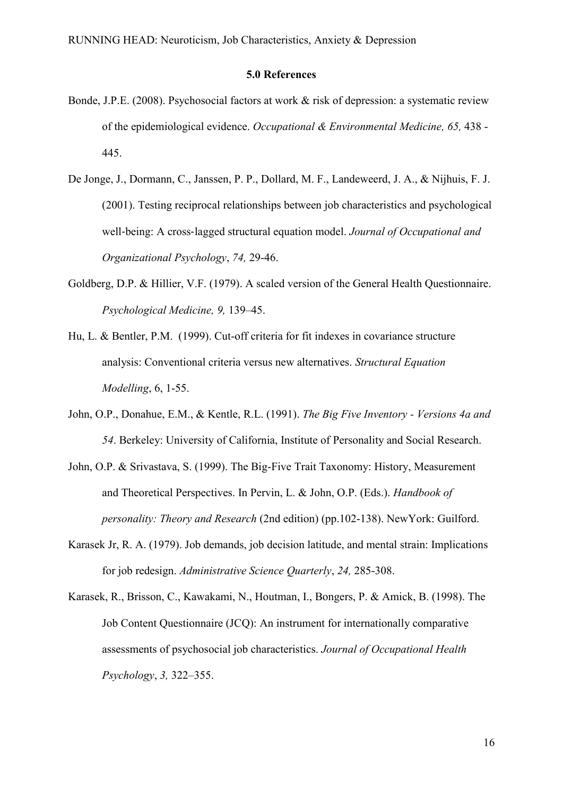#### **5.0 References**

- Bonde, J.P.E. (2008). Psychosocial factors at work & risk of depression: a systematic review of the epidemiological evidence. *Occupational & Environmental Medicine, 65,* 438 - 445.
- De Jonge, J., Dormann, C., Janssen, P. P., Dollard, M. F., Landeweerd, J. A., & Nijhuis, F. J. (2001). Testing reciprocal relationships between job characteristics and psychological well-being: A cross-lagged structural equation model. *Journal of Occupational and Organizational Psychology*, *74,* 29-46.
- Goldberg, D.P. & Hillier, V.F. (1979). A scaled version of the General Health Questionnaire. *Psychological Medicine, 9,* 139–45.
- Hu, L. & Bentler, P.M. (1999). Cut-off criteria for fit indexes in covariance structure analysis: Conventional criteria versus new alternatives. *Structural Equation Modelling*, 6, 1-55.
- John, O.P., Donahue, E.M., & Kentle, R.L. (1991). *The Big Five Inventory - Versions 4a and 54*. Berkeley: University of California, Institute of Personality and Social Research.
- John, O.P. & Srivastava, S. (1999). The Big-Five Trait Taxonomy: History, Measurement and Theoretical Perspectives. In Pervin, L. & John, O.P. (Eds.). *Handbook of personality: Theory and Research* (2nd edition) (pp.102-138). NewYork: Guilford.
- Karasek Jr, R. A. (1979). Job demands, job decision latitude, and mental strain: Implications for job redesign. *Administrative Science Quarterly*, *24,* 285-308.
- Karasek, R., Brisson, C., Kawakami, N., Houtman, I., Bongers, P. & Amick, B. (1998). The Job Content Questionnaire (JCQ): An instrument for internationally comparative assessments of psychosocial job characteristics. *Journal of Occupational Health Psychology*, *3,* 322–355.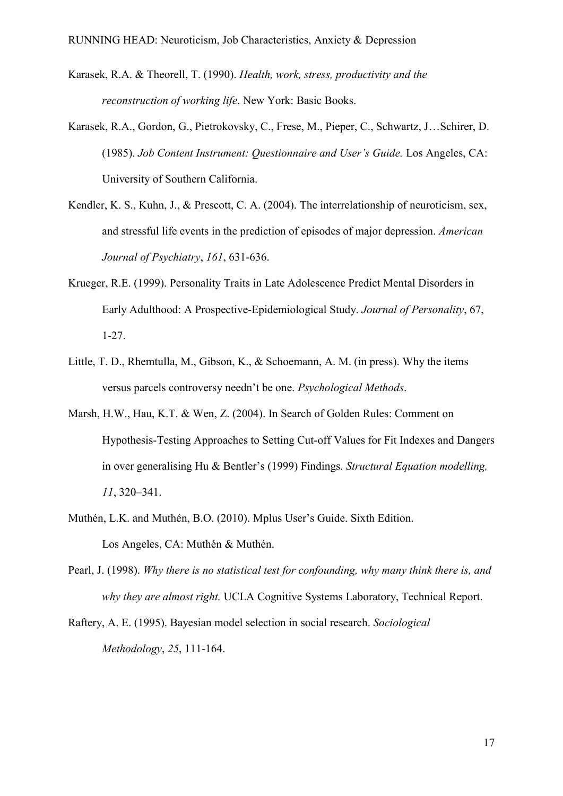- Karasek, R.A. & Theorell, T. (1990). *Health, work, stress, productivity and the reconstruction of working life*. New York: Basic Books.
- Karasek, R.A., Gordon, G., Pietrokovsky, C., Frese, M., Pieper, C., Schwartz, J…Schirer, D. (1985). *Job Content Instrument: Questionnaire and User's Guide.* Los Angeles, CA: University of Southern California.
- Kendler, K. S., Kuhn, J., & Prescott, C. A. (2004). The interrelationship of neuroticism, sex, and stressful life events in the prediction of episodes of major depression. *American Journal of Psychiatry*, *161*, 631-636.
- Krueger, R.E. (1999). Personality Traits in Late Adolescence Predict Mental Disorders in Early Adulthood: A Prospective-Epidemiological Study. *Journal of Personality*, 67, 1-27.
- Little, T. D., Rhemtulla, M., Gibson, K., & Schoemann, A. M. (in press). Why the items versus parcels controversy needn't be one. *Psychological Methods*.
- Marsh, H.W., Hau, K.T. & Wen, Z. (2004). In Search of Golden Rules: Comment on Hypothesis-Testing Approaches to Setting Cut-off Values for Fit Indexes and Dangers in over generalising Hu & Bentler's (1999) Findings. *Structural Equation modelling, 11*, 320–341.
- Muthén, L.K. and Muthén, B.O. (2010). Mplus User's Guide. Sixth Edition. Los Angeles, CA: Muthén & Muthén.
- Pearl, J. (1998). *Why there is no statistical test for confounding, why many think there is, and why they are almost right.* UCLA Cognitive Systems Laboratory, Technical Report.
- Raftery, A. E. (1995). Bayesian model selection in social research. *Sociological Methodology*, *25*, 111-164.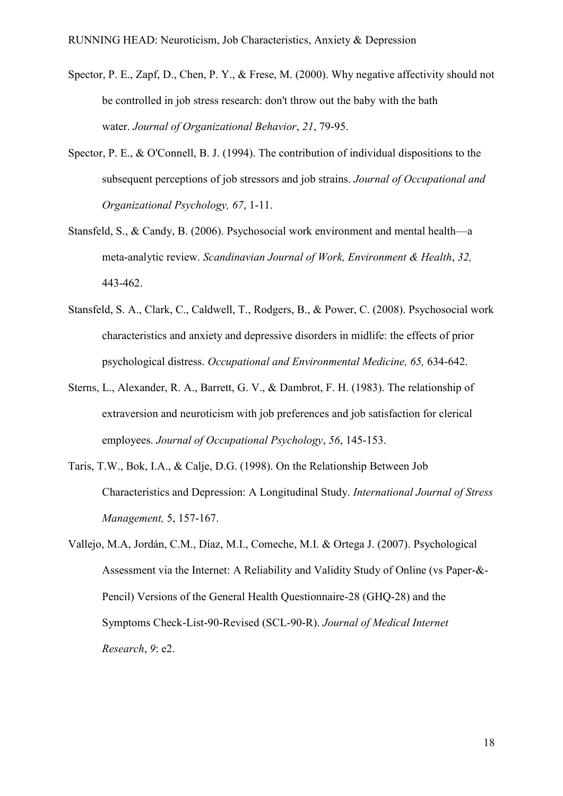- Spector, P. E., Zapf, D., Chen, P. Y., & Frese, M. (2000). Why negative affectivity should not be controlled in job stress research: don't throw out the baby with the bath water. *Journal of Organizational Behavior*, *21*, 79-95.
- Spector, P. E., & O'Connell, B. J. (1994). The contribution of individual dispositions to the subsequent perceptions of job stressors and job strains. *Journal of Occupational and Organizational Psychology, 67*, 1-11.
- Stansfeld, S., & Candy, B. (2006). Psychosocial work environment and mental health—a meta-analytic review. *Scandinavian Journal of Work, Environment & Health*, *32,* 443-462.
- Stansfeld, S. A., Clark, C., Caldwell, T., Rodgers, B., & Power, C. (2008). Psychosocial work characteristics and anxiety and depressive disorders in midlife: the effects of prior psychological distress. *Occupational and Environmental Medicine, 65,* 634-642.
- Sterns, L., Alexander, R. A., Barrett, G. V., & Dambrot, F. H. (1983). The relationship of extraversion and neuroticism with job preferences and job satisfaction for clerical employees. *Journal of Occupational Psychology*, *56*, 145-153.
- Taris, T.W., Bok, I.A., & Calje, D.G. (1998). On the Relationship Between Job Characteristics and Depression: A Longitudinal Study. *International Journal of Stress Management,* 5, 157-167.
- Vallejo, M.A, Jordán, C.M., Díaz, M.I., Comeche, M.I. & Ortega J. (2007). Psychological Assessment via the Internet: A Reliability and Validity Study of Online (vs Paper-&- Pencil) Versions of the General Health Questionnaire-28 (GHQ-28) and the Symptoms Check-List-90-Revised (SCL-90-R). *Journal of Medical Internet Research*, *9*: e2.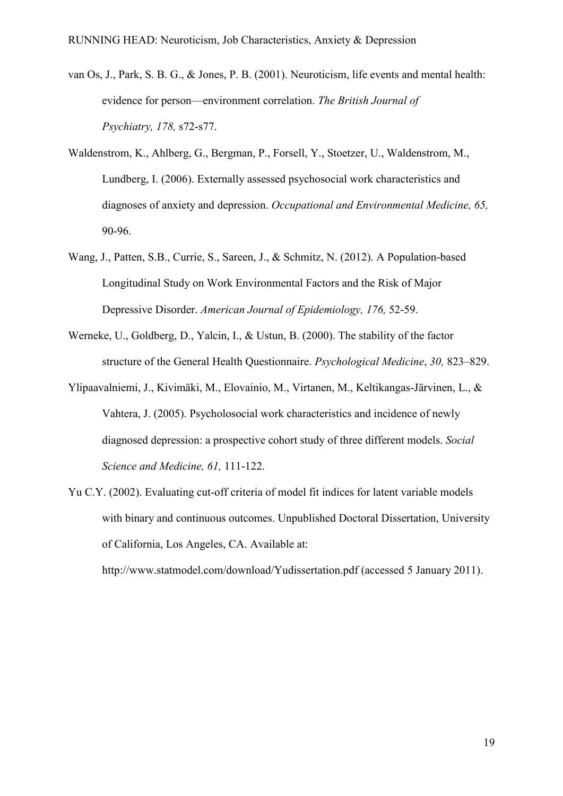- van Os, J., Park, S. B. G., & Jones, P. B. (2001). Neuroticism, life events and mental health: evidence for person—environment correlation. *The British Journal of Psychiatry, 178,* s72-s77.
- Waldenstrom, K., Ahlberg, G., Bergman, P., Forsell, Y., Stoetzer, U., Waldenstrom, M., Lundberg, I. (2006). Externally assessed psychosocial work characteristics and diagnoses of anxiety and depression. *Occupational and Environmental Medicine, 65,* 90-96.
- Wang, J., Patten, S.B., Currie, S., Sareen, J., & Schmitz, N. (2012). A Population-based Longitudinal Study on Work Environmental Factors and the Risk of Major Depressive Disorder. *American Journal of Epidemiology, 176,* 52-59.
- Werneke, U., Goldberg, D., Yalcin, I., & Ustun, B. (2000). The stability of the factor structure of the General Health Questionnaire. *Psychological Medicine*, *30,* 823–829.
- Ylipaavalniemi, J., Kivimäki, M., Elovainio, M., Virtanen, M., Keltikangas-Järvinen, L., & Vahtera, J. (2005). Psycholosocial work characteristics and incidence of newly diagnosed depression: a prospective cohort study of three different models. *Social Science and Medicine, 61,* 111-122.
- Yu C.Y. (2002). Evaluating cut-off criteria of model fit indices for latent variable models with binary and continuous outcomes. Unpublished Doctoral Dissertation, University of California, Los Angeles, CA. Available at:

http://www.statmodel.com/download/Yudissertation.pdf (accessed 5 January 2011).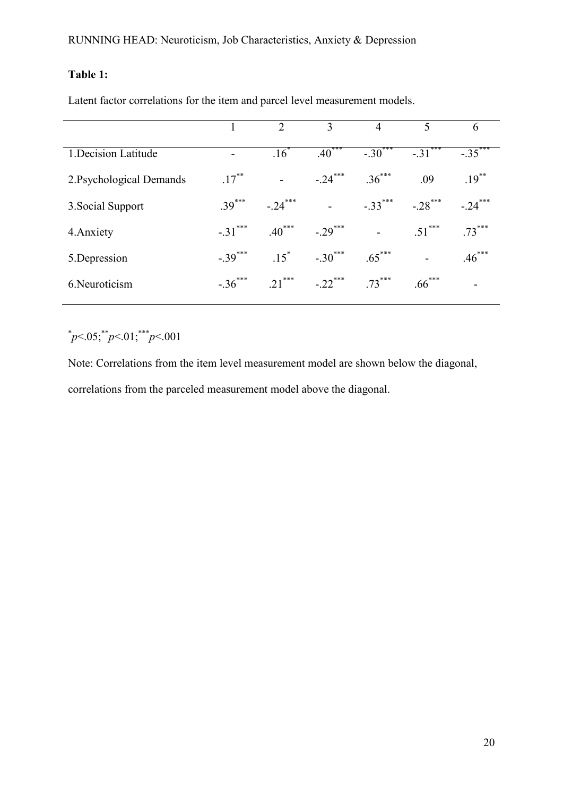## **Table 1:**

Latent factor correlations for the item and parcel level measurement models.

|                          |                       | $\mathcal{D}_{\mathcal{L}}$ | 3                        | 4         | 5          | 6                        |
|--------------------------|-----------------------|-----------------------------|--------------------------|-----------|------------|--------------------------|
| 1. Decision Latitude     | ۰                     | $\overline{.16}^*$          | $.40***$                 | $-.30***$ | $-31***$   | $-35$ <sup>***</sup>     |
| 2. Psychological Demands | $.17***$              | $\overline{\phantom{a}}$    | $-.24***$                | $.36***$  | .09        | $.19***$                 |
| 3. Social Support        | $39***$               | $-.24***$                   | $\overline{\phantom{a}}$ | $-.33***$ | $-.28$ *** | $-.24***$                |
| 4. Anxiety               | $-.31***$             | $.40***$                    | $-.29***$                |           | $51***$    | $.73***$                 |
| 5.Depression             | $-.39$ <sup>***</sup> | $15^*$                      | $-.30$ ***               | $.65***$  |            | $.46***$                 |
| 6. Neuroticism           | $-.36$ <sup>***</sup> | $21***$                     | $-.22***$                | $73***$   | $.66***$   | $\overline{\phantom{0}}$ |

# $p<05$ ; \*\*p<.01; \*\*\*p<.001

Note: Correlations from the item level measurement model are shown below the diagonal, correlations from the parceled measurement model above the diagonal.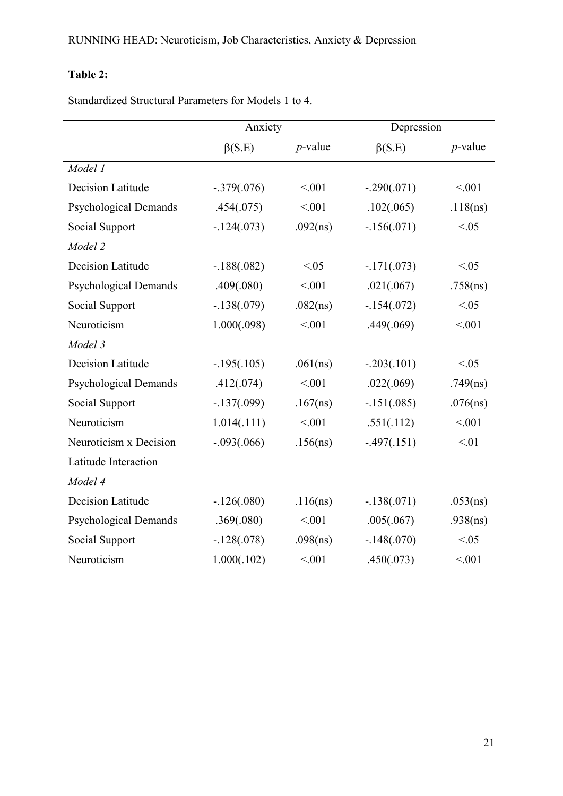## **Table 2:**

Standardized Structural Parameters for Models 1 to 4.

|                              | Anxiety       |             | Depression    |            |
|------------------------------|---------------|-------------|---------------|------------|
|                              | $\beta(S.E)$  | $p$ -value  | $\beta(S.E)$  | $p$ -value |
| Model 1                      |               |             |               |            |
| Decision Latitude            | $-.379(.076)$ | < 0.01      | $-.290(.071)$ | < 0.01     |
| <b>Psychological Demands</b> | .454(.075)    | < 0.01      | .102(.065)    | .118(ns)   |
| Social Support               | $-124(.073)$  | .092(ns)    | $-156(.071)$  | < 0.05     |
| Model 2                      |               |             |               |            |
| Decision Latitude            | $-.188(.082)$ | < 0.05      | $-171(.073)$  | < 0.05     |
| <b>Psychological Demands</b> | .409(.080)    | < 0.01      | .021(.067)    | .758(ns)   |
| Social Support               | $-.138(.079)$ | .082(ns)    | $-154(.072)$  | < 0.05     |
| Neuroticism                  | 1.000(.098)   | < 001       | .449(.069)    | < 001      |
| Model 3                      |               |             |               |            |
| <b>Decision Latitude</b>     | $-195(.105)$  | .061(ns)    | $-.203(.101)$ | < 0.05     |
| <b>Psychological Demands</b> | .412(.074)    | < 001       | .022(.069)    | .749(ns)   |
| Social Support               | $-137(.099)$  | $.167$ (ns) | $-151(.085)$  | .076(ns)   |
| Neuroticism                  | 1.014(.111)   | < 001       | .551(.112)    | < 0.01     |
| Neuroticism x Decision       | $-.093(.066)$ | .156(ns)    | $-497(.151)$  | < 01       |
| Latitude Interaction         |               |             |               |            |
| Model 4                      |               |             |               |            |
| Decision Latitude            | $-.126(.080)$ | .116(ns)    | $-.138(.071)$ | .053(ns)   |
| <b>Psychological Demands</b> | .369(.080)    | < 001       | .005(.067)    | .938(ns)   |
| Social Support               | $-.128(.078)$ | .098(ns)    | $-.148(.070)$ | < 0.05     |
| Neuroticism                  | 1.000(.102)   | < 0.01      | .450(.073)    | < 0.01     |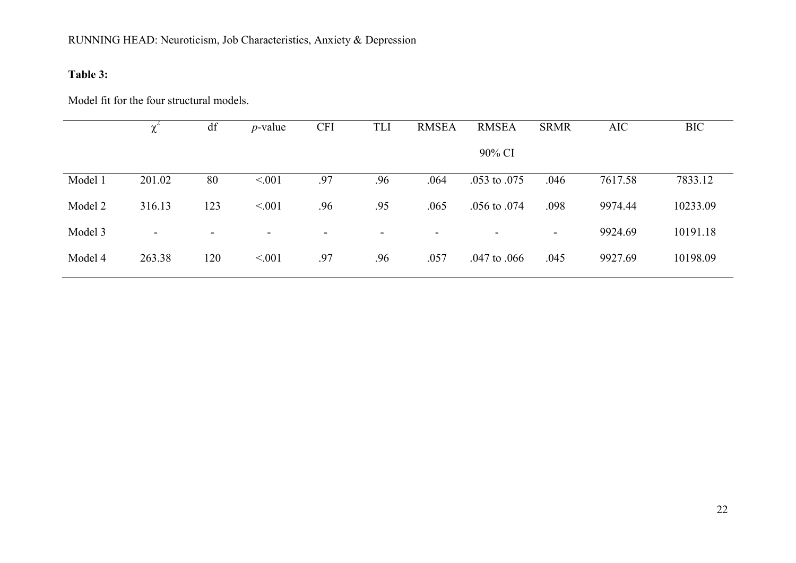## **Table 3:**

Model fit for the four structural models.

|         | $\gamma^{\scriptscriptstyle -}$ | df  | $p$ -value | <b>CFI</b> | <b>TLI</b>               | <b>RMSEA</b> | <b>RMSEA</b>     | <b>SRMR</b>    | <b>AIC</b> | <b>BIC</b> |
|---------|---------------------------------|-----|------------|------------|--------------------------|--------------|------------------|----------------|------------|------------|
|         |                                 |     |            |            |                          |              | 90% CI           |                |            |            |
| Model 1 | 201.02                          | 80  | < 0.01     | .97        | .96                      | .064         | $.053$ to $.075$ | .046           | 7617.58    | 7833.12    |
| Model 2 | 316.13                          | 123 | < 001      | .96        | .95                      | .065         | $.056$ to $.074$ | .098           | 9974.44    | 10233.09   |
| Model 3 | ۰.                              | ۰.  | -          | -          | $\overline{\phantom{a}}$ | $\sim$       | -                | $\blacksquare$ | 9924.69    | 10191.18   |
| Model 4 | 263.38                          | 120 | < 001      | .97        | .96                      | .057         | $.047$ to $.066$ | .045           | 9927.69    | 10198.09   |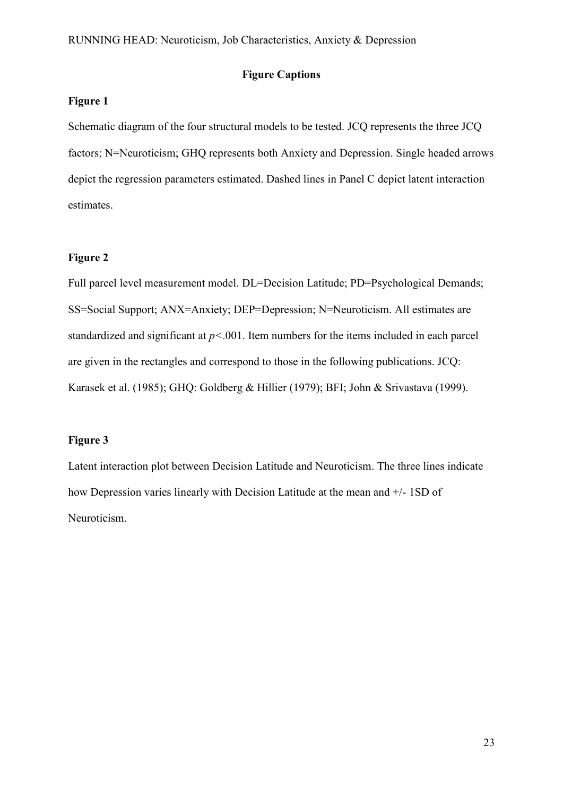#### **Figure Captions**

#### **Figure 1**

Schematic diagram of the four structural models to be tested. JCQ represents the three JCQ factors; N=Neuroticism; GHQ represents both Anxiety and Depression. Single headed arrows depict the regression parameters estimated. Dashed lines in Panel C depict latent interaction estimates.

#### **Figure 2**

Full parcel level measurement model. DL=Decision Latitude; PD=Psychological Demands; SS=Social Support; ANX=Anxiety; DEP=Depression; N=Neuroticism. All estimates are standardized and significant at *p<*.001. Item numbers for the items included in each parcel are given in the rectangles and correspond to those in the following publications. JCQ: Karasek et al. (1985); GHQ: Goldberg & Hillier (1979); BFI; John & Srivastava (1999).

#### **Figure 3**

Latent interaction plot between Decision Latitude and Neuroticism. The three lines indicate how Depression varies linearly with Decision Latitude at the mean and +/- 1SD of Neuroticism.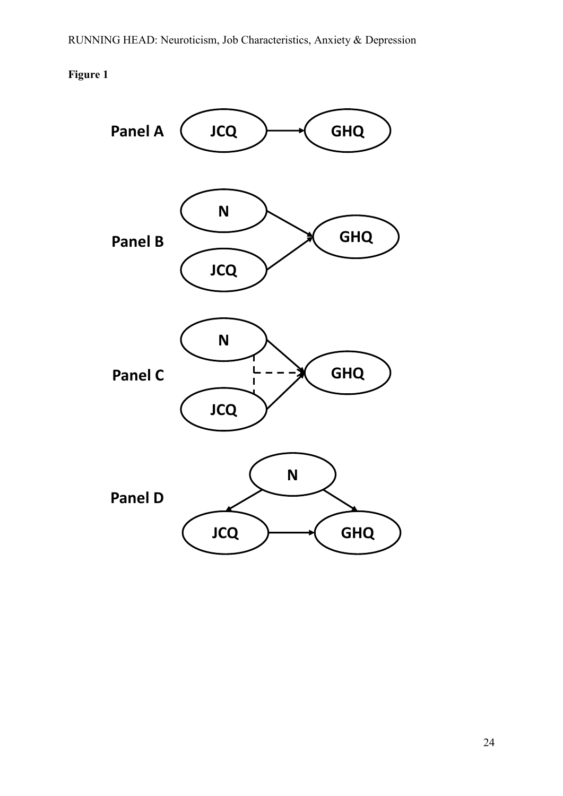## **Figure 1**

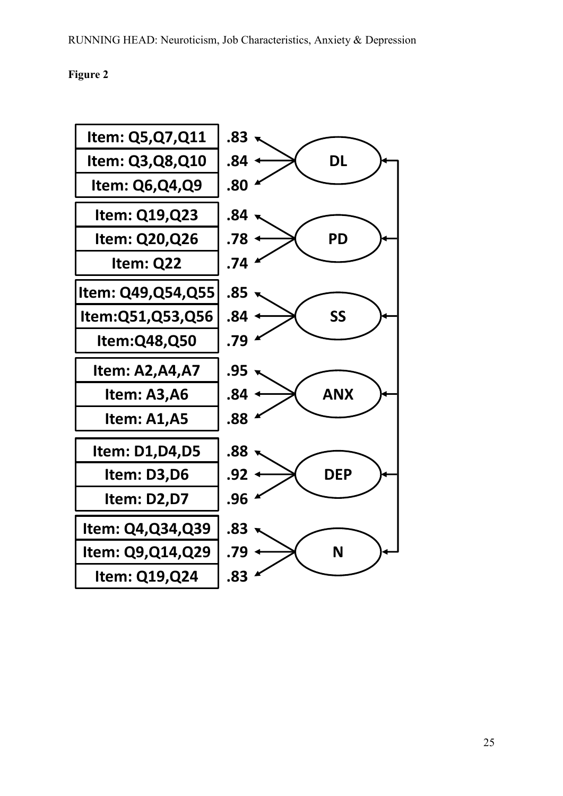#### **Figure 2**